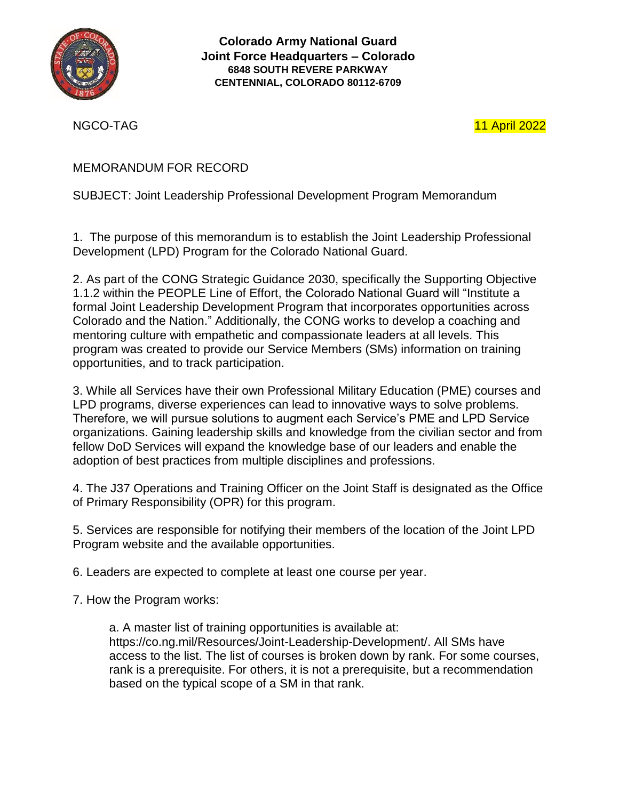

**Colorado Army National Guard Joint Force Headquarters – Colorado 6848 SOUTH REVERE PARKWAY CENTENNIAL, COLORADO 80112-6709**

NGCO-TAG 11 April 2022

## MEMORANDUM FOR RECORD

## SUBJECT: Joint Leadership Professional Development Program Memorandum

1. The purpose of this memorandum is to establish the Joint Leadership Professional Development (LPD) Program for the Colorado National Guard.

2. As part of the CONG Strategic Guidance 2030, specifically the Supporting Objective 1.1.2 within the PEOPLE Line of Effort, the Colorado National Guard will "Institute a formal Joint Leadership Development Program that incorporates opportunities across Colorado and the Nation." Additionally, the CONG works to develop a coaching and mentoring culture with empathetic and compassionate leaders at all levels. This program was created to provide our Service Members (SMs) information on training opportunities, and to track participation.

3. While all Services have their own Professional Military Education (PME) courses and LPD programs, diverse experiences can lead to innovative ways to solve problems. Therefore, we will pursue solutions to augment each Service's PME and LPD Service organizations. Gaining leadership skills and knowledge from the civilian sector and from fellow DoD Services will expand the knowledge base of our leaders and enable the adoption of best practices from multiple disciplines and professions.

4. The J37 Operations and Training Officer on the Joint Staff is designated as the Office of Primary Responsibility (OPR) for this program.

5. Services are responsible for notifying their members of the location of the Joint LPD Program website and the available opportunities.

6. Leaders are expected to complete at least one course per year.

7. How the Program works:

a. A master list of training opportunities is available at: https://co.ng.mil/Resources/Joint-Leadership-Development/. All SMs have access to the list. The list of courses is broken down by rank. For some courses, rank is a prerequisite. For others, it is not a prerequisite, but a recommendation based on the typical scope of a SM in that rank.